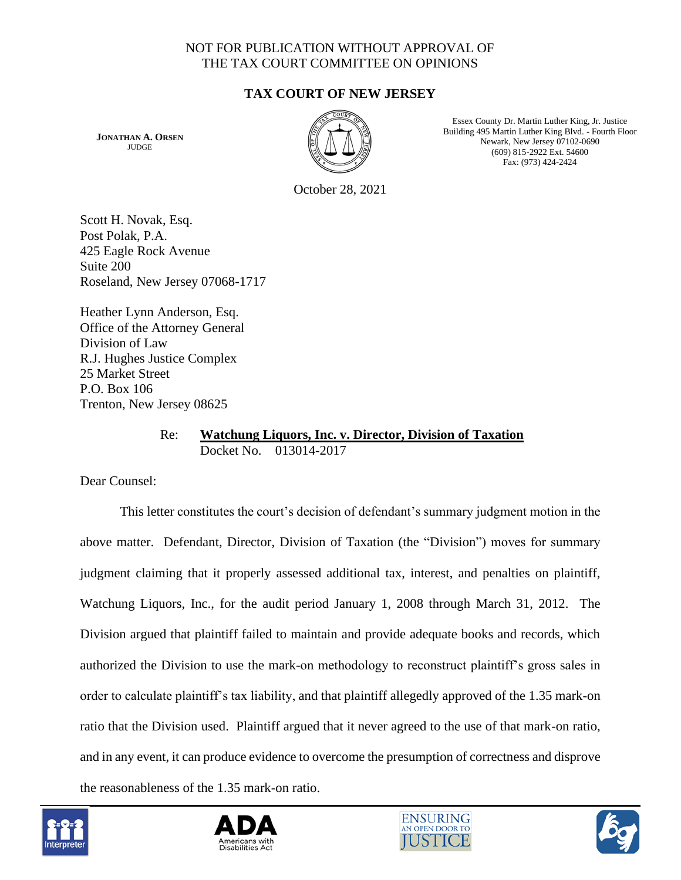## NOT FOR PUBLICATION WITHOUT APPROVAL OF THE TAX COURT COMMITTEE ON OPINIONS

## **TAX COURT OF NEW JERSEY**

**JONATHAN A. ORSEN JUDGE** 



Essex County Dr. Martin Luther King, Jr. Justice Building 495 Martin Luther King Blvd. - Fourth Floor Newark, New Jersey 07102-0690 (609) 815-2922 Ext. 54600 Fax: (973) 424-2424

October 28, 2021

Scott H. Novak, Esq. Post Polak, P.A. 425 Eagle Rock Avenue Suite 200 Roseland, New Jersey 07068-1717

Heather Lynn Anderson, Esq. Office of the Attorney General Division of Law R.J. Hughes Justice Complex 25 Market Street P.O. Box 106 Trenton, New Jersey 08625

### Re: **Watchung Liquors, Inc. v. Director, Division of Taxation** Docket No. 013014-2017

Dear Counsel:

This letter constitutes the court's decision of defendant's summary judgment motion in the above matter. Defendant, Director, Division of Taxation (the "Division") moves for summary judgment claiming that it properly assessed additional tax, interest, and penalties on plaintiff, Watchung Liquors, Inc., for the audit period January 1, 2008 through March 31, 2012. The Division argued that plaintiff failed to maintain and provide adequate books and records, which authorized the Division to use the mark-on methodology to reconstruct plaintiff's gross sales in order to calculate plaintiff's tax liability, and that plaintiff allegedly approved of the 1.35 mark-on ratio that the Division used. Plaintiff argued that it never agreed to the use of that mark-on ratio, and in any event, it can produce evidence to overcome the presumption of correctness and disprove the reasonableness of the 1.35 mark-on ratio.







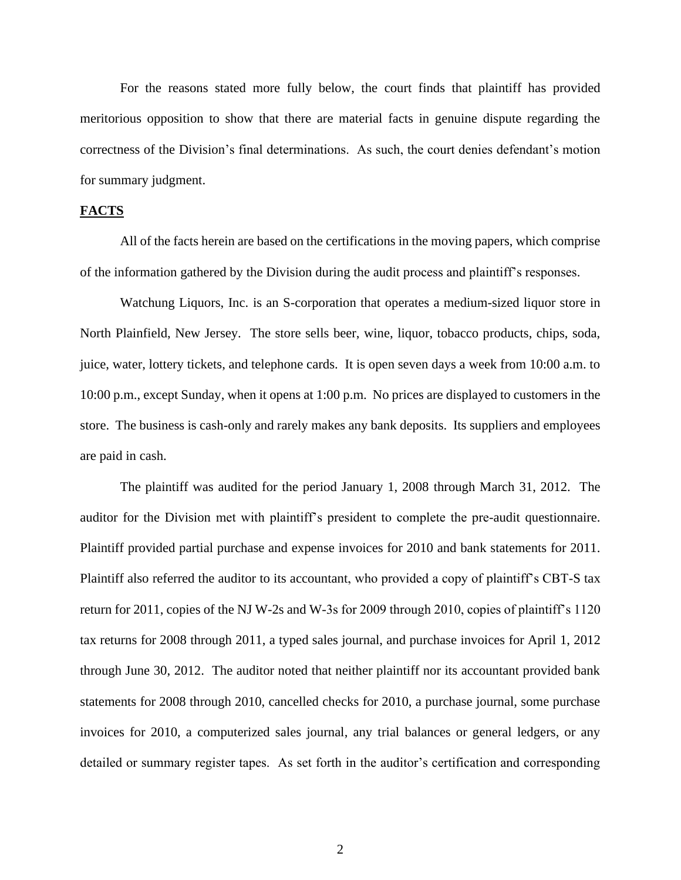For the reasons stated more fully below, the court finds that plaintiff has provided meritorious opposition to show that there are material facts in genuine dispute regarding the correctness of the Division's final determinations. As such, the court denies defendant's motion for summary judgment.

#### **FACTS**

All of the facts herein are based on the certifications in the moving papers, which comprise of the information gathered by the Division during the audit process and plaintiff's responses.

Watchung Liquors, Inc. is an S-corporation that operates a medium-sized liquor store in North Plainfield, New Jersey. The store sells beer, wine, liquor, tobacco products, chips, soda, juice, water, lottery tickets, and telephone cards. It is open seven days a week from 10:00 a.m. to 10:00 p.m., except Sunday, when it opens at 1:00 p.m. No prices are displayed to customers in the store. The business is cash-only and rarely makes any bank deposits. Its suppliers and employees are paid in cash.

The plaintiff was audited for the period January 1, 2008 through March 31, 2012. The auditor for the Division met with plaintiff's president to complete the pre-audit questionnaire. Plaintiff provided partial purchase and expense invoices for 2010 and bank statements for 2011. Plaintiff also referred the auditor to its accountant, who provided a copy of plaintiff's CBT-S tax return for 2011, copies of the NJ W-2s and W-3s for 2009 through 2010, copies of plaintiff's 1120 tax returns for 2008 through 2011, a typed sales journal, and purchase invoices for April 1, 2012 through June 30, 2012. The auditor noted that neither plaintiff nor its accountant provided bank statements for 2008 through 2010, cancelled checks for 2010, a purchase journal, some purchase invoices for 2010, a computerized sales journal, any trial balances or general ledgers, or any detailed or summary register tapes. As set forth in the auditor's certification and corresponding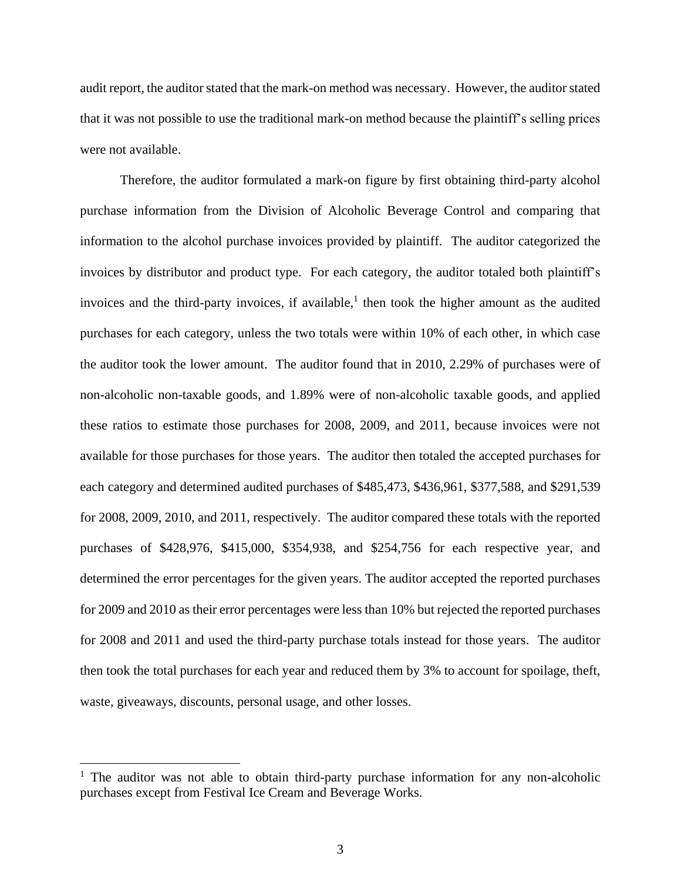audit report, the auditor stated that the mark-on method was necessary. However, the auditor stated that it was not possible to use the traditional mark-on method because the plaintiff's selling prices were not available.

Therefore, the auditor formulated a mark-on figure by first obtaining third-party alcohol purchase information from the Division of Alcoholic Beverage Control and comparing that information to the alcohol purchase invoices provided by plaintiff. The auditor categorized the invoices by distributor and product type. For each category, the auditor totaled both plaintiff's invoices and the third-party invoices, if available,<sup>1</sup> then took the higher amount as the audited purchases for each category, unless the two totals were within 10% of each other, in which case the auditor took the lower amount. The auditor found that in 2010, 2.29% of purchases were of non-alcoholic non-taxable goods, and 1.89% were of non-alcoholic taxable goods, and applied these ratios to estimate those purchases for 2008, 2009, and 2011, because invoices were not available for those purchases for those years. The auditor then totaled the accepted purchases for each category and determined audited purchases of \$485,473, \$436,961, \$377,588, and \$291,539 for 2008, 2009, 2010, and 2011, respectively. The auditor compared these totals with the reported purchases of \$428,976, \$415,000, \$354,938, and \$254,756 for each respective year, and determined the error percentages for the given years. The auditor accepted the reported purchases for 2009 and 2010 as their error percentages were less than 10% but rejected the reported purchases for 2008 and 2011 and used the third-party purchase totals instead for those years. The auditor then took the total purchases for each year and reduced them by 3% to account for spoilage, theft, waste, giveaways, discounts, personal usage, and other losses.

 $1$ . The auditor was not able to obtain third-party purchase information for any non-alcoholic purchases except from Festival Ice Cream and Beverage Works.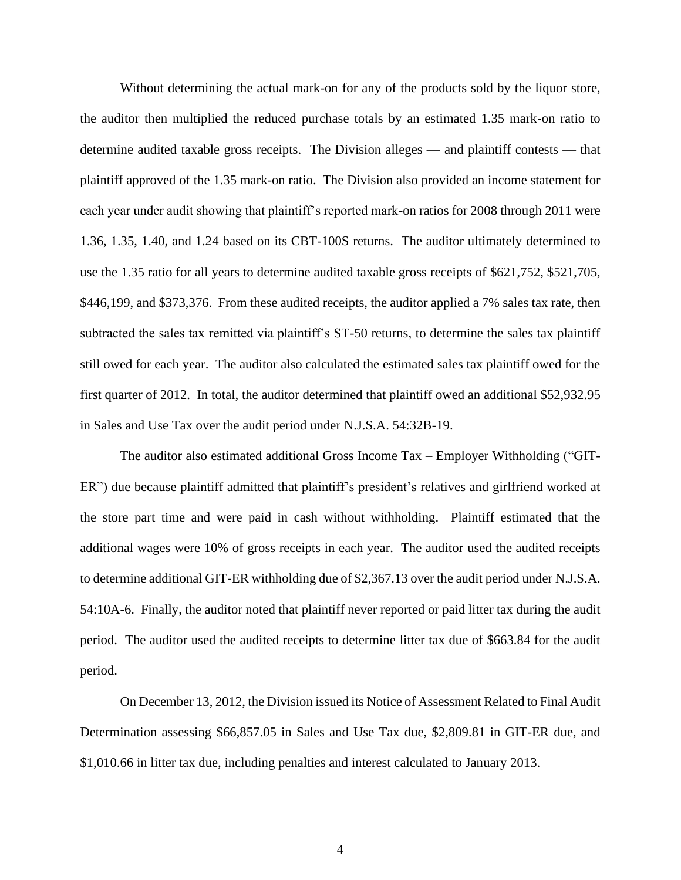Without determining the actual mark-on for any of the products sold by the liquor store, the auditor then multiplied the reduced purchase totals by an estimated 1.35 mark-on ratio to determine audited taxable gross receipts. The Division alleges — and plaintiff contests — that plaintiff approved of the 1.35 mark-on ratio. The Division also provided an income statement for each year under audit showing that plaintiff's reported mark-on ratios for 2008 through 2011 were 1.36, 1.35, 1.40, and 1.24 based on its CBT-100S returns. The auditor ultimately determined to use the 1.35 ratio for all years to determine audited taxable gross receipts of \$621,752, \$521,705, \$446,199, and \$373,376. From these audited receipts, the auditor applied a 7% sales tax rate, then subtracted the sales tax remitted via plaintiff's ST-50 returns, to determine the sales tax plaintiff still owed for each year. The auditor also calculated the estimated sales tax plaintiff owed for the first quarter of 2012. In total, the auditor determined that plaintiff owed an additional \$52,932.95 in Sales and Use Tax over the audit period under N.J.S.A. 54:32B-19.

The auditor also estimated additional Gross Income Tax – Employer Withholding ("GIT-ER") due because plaintiff admitted that plaintiff's president's relatives and girlfriend worked at the store part time and were paid in cash without withholding. Plaintiff estimated that the additional wages were 10% of gross receipts in each year. The auditor used the audited receipts to determine additional GIT-ER withholding due of \$2,367.13 over the audit period under N.J.S.A. 54:10A-6. Finally, the auditor noted that plaintiff never reported or paid litter tax during the audit period. The auditor used the audited receipts to determine litter tax due of \$663.84 for the audit period.

On December 13, 2012, the Division issued its Notice of Assessment Related to Final Audit Determination assessing \$66,857.05 in Sales and Use Tax due, \$2,809.81 in GIT-ER due, and \$1,010.66 in litter tax due, including penalties and interest calculated to January 2013.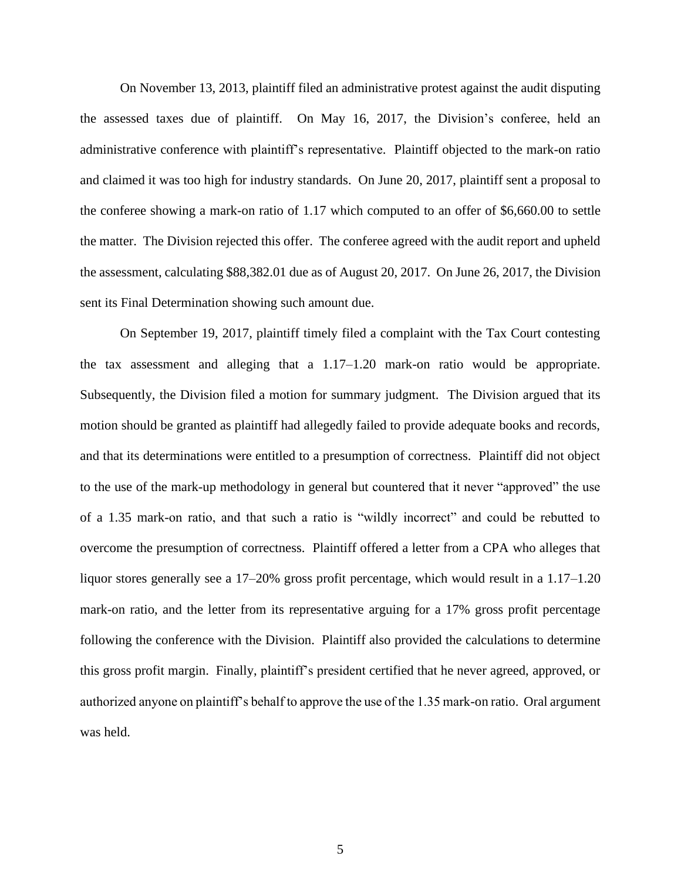On November 13, 2013, plaintiff filed an administrative protest against the audit disputing the assessed taxes due of plaintiff. On May 16, 2017, the Division's conferee, held an administrative conference with plaintiff's representative. Plaintiff objected to the mark-on ratio and claimed it was too high for industry standards. On June 20, 2017, plaintiff sent a proposal to the conferee showing a mark-on ratio of 1.17 which computed to an offer of \$6,660.00 to settle the matter. The Division rejected this offer. The conferee agreed with the audit report and upheld the assessment, calculating \$88,382.01 due as of August 20, 2017. On June 26, 2017, the Division sent its Final Determination showing such amount due.

On September 19, 2017, plaintiff timely filed a complaint with the Tax Court contesting the tax assessment and alleging that a 1.17–1.20 mark-on ratio would be appropriate. Subsequently, the Division filed a motion for summary judgment. The Division argued that its motion should be granted as plaintiff had allegedly failed to provide adequate books and records, and that its determinations were entitled to a presumption of correctness. Plaintiff did not object to the use of the mark-up methodology in general but countered that it never "approved" the use of a 1.35 mark-on ratio, and that such a ratio is "wildly incorrect" and could be rebutted to overcome the presumption of correctness. Plaintiff offered a letter from a CPA who alleges that liquor stores generally see a 17–20% gross profit percentage, which would result in a 1.17–1.20 mark-on ratio, and the letter from its representative arguing for a 17% gross profit percentage following the conference with the Division. Plaintiff also provided the calculations to determine this gross profit margin. Finally, plaintiff's president certified that he never agreed, approved, or authorized anyone on plaintiff's behalf to approve the use of the 1.35 mark-on ratio. Oral argument was held.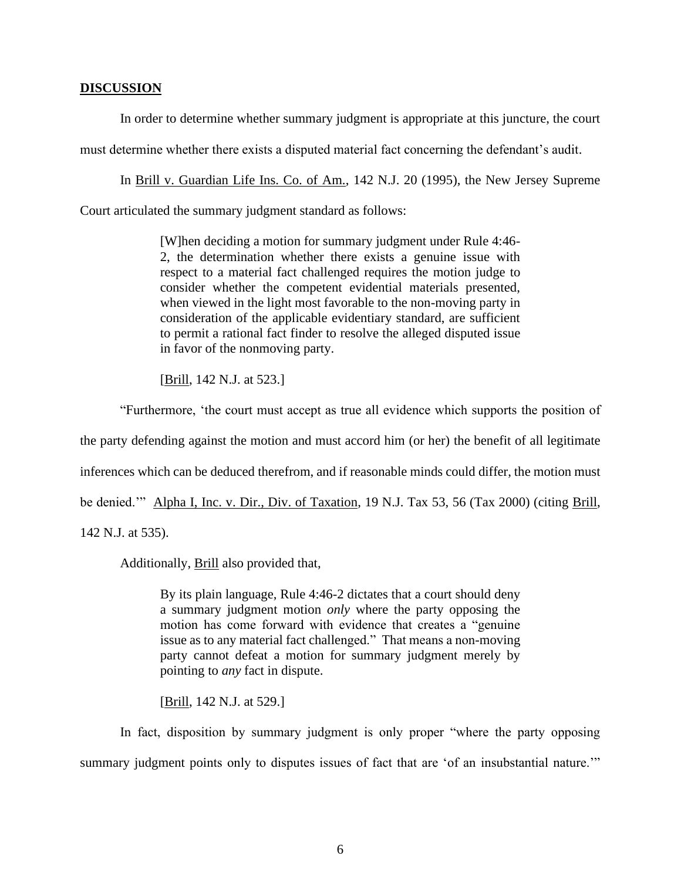#### **DISCUSSION**

In order to determine whether summary judgment is appropriate at this juncture, the court

must determine whether there exists a disputed material fact concerning the defendant's audit.

In Brill v. Guardian Life Ins. Co. of Am., 142 N.J. 20 (1995), the New Jersey Supreme Court articulated the summary judgment standard as follows:

> [W]hen deciding a motion for summary judgment under Rule 4:46- 2, the determination whether there exists a genuine issue with respect to a material fact challenged requires the motion judge to consider whether the competent evidential materials presented, when viewed in the light most favorable to the non-moving party in consideration of the applicable evidentiary standard, are sufficient to permit a rational fact finder to resolve the alleged disputed issue in favor of the nonmoving party.

[Brill, 142 N.J. at 523.]

"Furthermore, 'the court must accept as true all evidence which supports the position of the party defending against the motion and must accord him (or her) the benefit of all legitimate inferences which can be deduced therefrom, and if reasonable minds could differ, the motion must be denied.'" Alpha I, Inc. v. Dir., Div. of Taxation, 19 N.J. Tax 53, 56 (Tax 2000) (citing Brill,

142 N.J. at 535).

Additionally, Brill also provided that,

By its plain language, Rule 4:46-2 dictates that a court should deny a summary judgment motion *only* where the party opposing the motion has come forward with evidence that creates a "genuine issue as to any material fact challenged." That means a non-moving party cannot defeat a motion for summary judgment merely by pointing to *any* fact in dispute.

[**Brill**, 142 N.J. at 529.]

In fact, disposition by summary judgment is only proper "where the party opposing summary judgment points only to disputes issues of fact that are 'of an insubstantial nature."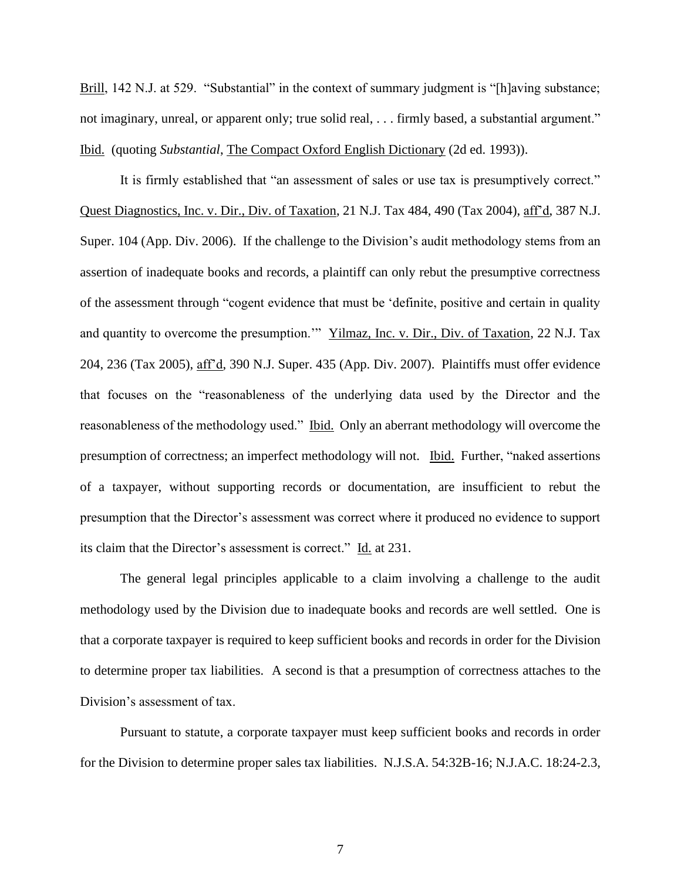Brill, 142 N.J. at 529. "Substantial" in the context of summary judgment is "[h]aving substance; not imaginary, unreal, or apparent only; true solid real, . . . firmly based, a substantial argument." Ibid. (quoting *Substantial*, The Compact Oxford English Dictionary (2d ed. 1993)).

It is firmly established that "an assessment of sales or use tax is presumptively correct." Quest Diagnostics, Inc. v. Dir., Div. of Taxation, 21 N.J. Tax 484, 490 (Tax 2004), aff'd, 387 N.J. Super. 104 (App. Div. 2006). If the challenge to the Division's audit methodology stems from an assertion of inadequate books and records, a plaintiff can only rebut the presumptive correctness of the assessment through "cogent evidence that must be 'definite, positive and certain in quality and quantity to overcome the presumption.'" Yilmaz, Inc. v. Dir., Div. of Taxation, 22 N.J. Tax 204, 236 (Tax 2005), aff'd, 390 N.J. Super. 435 (App. Div. 2007). Plaintiffs must offer evidence that focuses on the "reasonableness of the underlying data used by the Director and the reasonableness of the methodology used." Ibid. Only an aberrant methodology will overcome the presumption of correctness; an imperfect methodology will not. Ibid. Further, "naked assertions of a taxpayer, without supporting records or documentation, are insufficient to rebut the presumption that the Director's assessment was correct where it produced no evidence to support its claim that the Director's assessment is correct." Id. at 231.

The general legal principles applicable to a claim involving a challenge to the audit methodology used by the Division due to inadequate books and records are well settled. One is that a corporate taxpayer is required to keep sufficient books and records in order for the Division to determine proper tax liabilities. A second is that a presumption of correctness attaches to the Division's assessment of tax.

Pursuant to statute, a corporate taxpayer must keep sufficient books and records in order for the Division to determine proper sales tax liabilities. N.J.S.A. 54:32B-16; N.J.A.C. 18:24-2.3,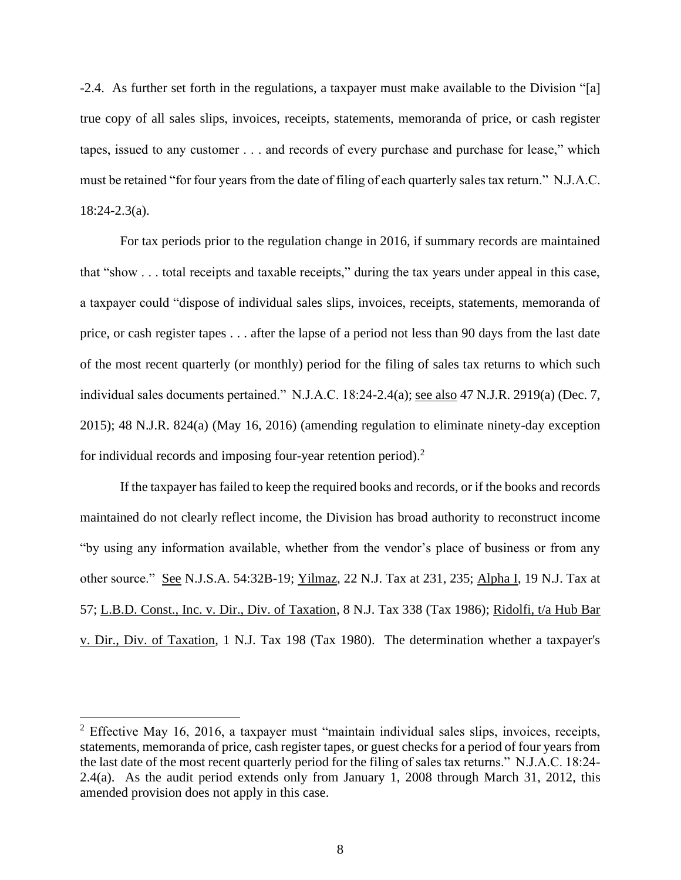-2.4. As further set forth in the regulations, a taxpayer must make available to the Division "[a] true copy of all sales slips, invoices, receipts, statements, memoranda of price, or cash register tapes, issued to any customer . . . and records of every purchase and purchase for lease," which must be retained "for four years from the date of filing of each quarterly sales tax return." N.J.A.C. 18:24-2.3(a).

For tax periods prior to the regulation change in 2016, if summary records are maintained that "show . . . total receipts and taxable receipts," during the tax years under appeal in this case, a taxpayer could "dispose of individual sales slips, invoices, receipts, statements, memoranda of price, or cash register tapes . . . after the lapse of a period not less than 90 days from the last date of the most recent quarterly (or monthly) period for the filing of sales tax returns to which such individual sales documents pertained." N.J.A.C. 18:24-2.4(a); see also 47 N.J.R. 2919(a) (Dec. 7, 2015); 48 N.J.R. 824(a) (May 16, 2016) (amending regulation to eliminate ninety-day exception for individual records and imposing four-year retention period). $2$ 

If the taxpayer has failed to keep the required books and records, or if the books and records maintained do not clearly reflect income, the Division has broad authority to reconstruct income "by using any information available, whether from the vendor's place of business or from any other source." See N.J.S.A. 54:32B-19; Yilmaz, 22 N.J. Tax at 231, 235; Alpha I, 19 N.J. Tax at 57; L.B.D. Const., Inc. v. Dir., Div. of Taxation, 8 N.J. Tax 338 (Tax 1986); Ridolfi, t/a Hub Bar v. Dir., Div. of Taxation, 1 N.J. Tax 198 (Tax 1980). The determination whether a taxpayer's

<sup>&</sup>lt;sup>2</sup> Effective May 16, 2016, a taxpayer must "maintain individual sales slips, invoices, receipts, statements, memoranda of price, cash register tapes, or guest checks for a period of four years from the last date of the most recent quarterly period for the filing of sales tax returns." N.J.A.C. 18:24- 2.4(a). As the audit period extends only from January 1, 2008 through March 31, 2012, this amended provision does not apply in this case.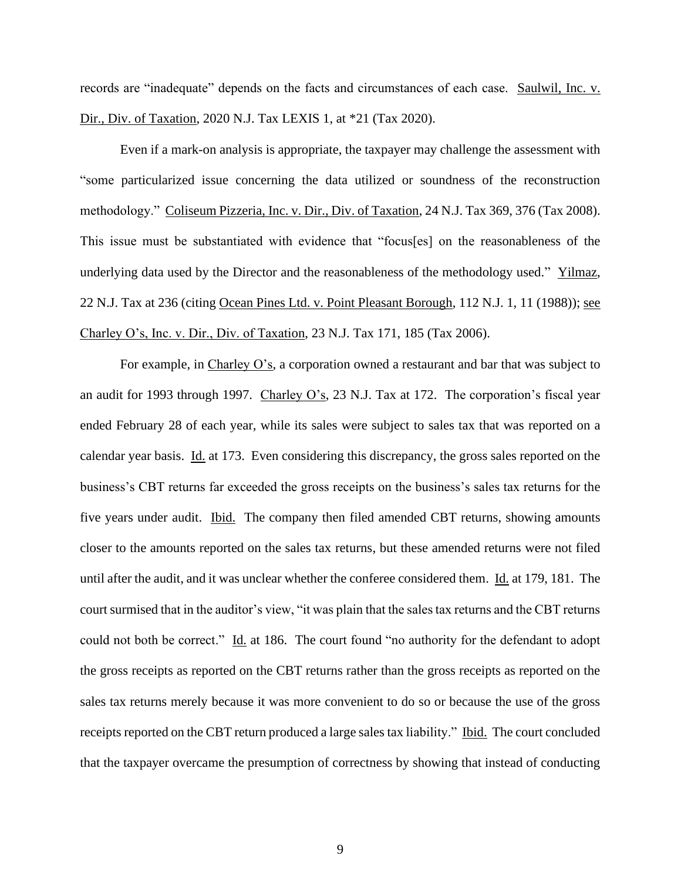records are "inadequate" depends on the facts and circumstances of each case. Saulwil, Inc. v. Dir., Div. of Taxation, 2020 N.J. Tax LEXIS 1, at \*21 (Tax 2020).

Even if a mark-on analysis is appropriate, the taxpayer may challenge the assessment with "some particularized issue concerning the data utilized or soundness of the reconstruction methodology." Coliseum Pizzeria, Inc. v. Dir., Div. of Taxation, 24 N.J. Tax 369, 376 (Tax 2008). This issue must be substantiated with evidence that "focus[es] on the reasonableness of the underlying data used by the Director and the reasonableness of the methodology used." Yilmaz, 22 N.J. Tax at 236 (citing Ocean Pines Ltd. v. Point Pleasant Borough, 112 N.J. 1, 11 (1988)); see Charley O's, Inc. v. Dir., Div. of Taxation, 23 N.J. Tax 171, 185 (Tax 2006).

For example, in Charley O's, a corporation owned a restaurant and bar that was subject to an audit for 1993 through 1997. Charley O's, 23 N.J. Tax at 172. The corporation's fiscal year ended February 28 of each year, while its sales were subject to sales tax that was reported on a calendar year basis. Id. at 173. Even considering this discrepancy, the gross sales reported on the business's CBT returns far exceeded the gross receipts on the business's sales tax returns for the five years under audit. Ibid. The company then filed amended CBT returns, showing amounts closer to the amounts reported on the sales tax returns, but these amended returns were not filed until after the audit, and it was unclear whether the conferee considered them. Id. at 179, 181. The court surmised that in the auditor's view, "it was plain that the sales tax returns and the CBT returns could not both be correct." Id. at 186. The court found "no authority for the defendant to adopt the gross receipts as reported on the CBT returns rather than the gross receipts as reported on the sales tax returns merely because it was more convenient to do so or because the use of the gross receipts reported on the CBT return produced a large sales tax liability." Ibid. The court concluded that the taxpayer overcame the presumption of correctness by showing that instead of conducting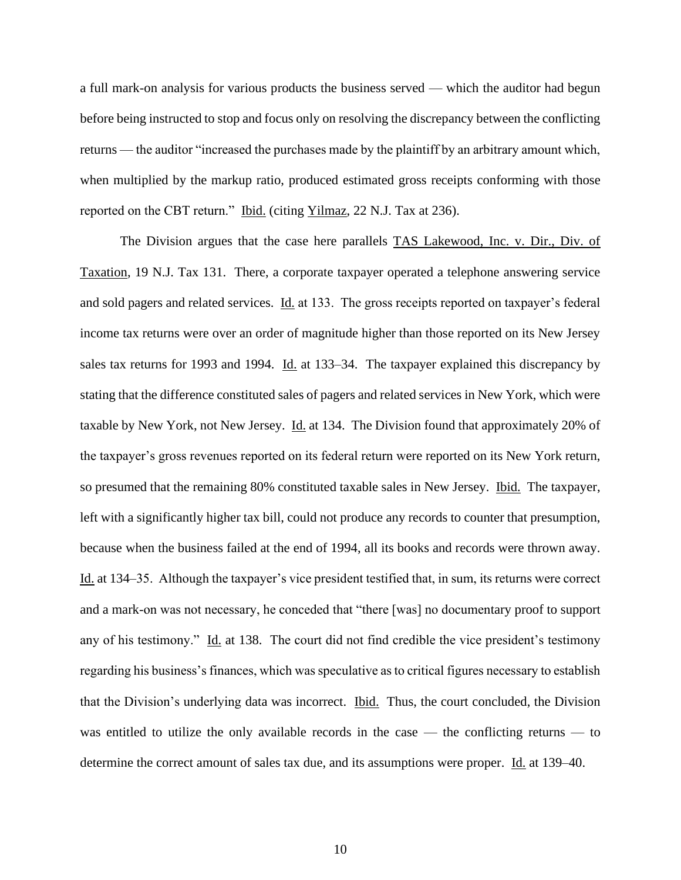a full mark-on analysis for various products the business served — which the auditor had begun before being instructed to stop and focus only on resolving the discrepancy between the conflicting returns — the auditor "increased the purchases made by the plaintiff by an arbitrary amount which, when multiplied by the markup ratio, produced estimated gross receipts conforming with those reported on the CBT return." Ibid. (citing Yilmaz, 22 N.J. Tax at 236).

The Division argues that the case here parallels TAS Lakewood, Inc. v. Dir., Div. of Taxation, 19 N.J. Tax 131. There, a corporate taxpayer operated a telephone answering service and sold pagers and related services. Id. at 133. The gross receipts reported on taxpayer's federal income tax returns were over an order of magnitude higher than those reported on its New Jersey sales tax returns for 1993 and 1994. Id. at 133–34. The taxpayer explained this discrepancy by stating that the difference constituted sales of pagers and related services in New York, which were taxable by New York, not New Jersey. Id. at 134. The Division found that approximately 20% of the taxpayer's gross revenues reported on its federal return were reported on its New York return, so presumed that the remaining 80% constituted taxable sales in New Jersey. Ibid. The taxpayer, left with a significantly higher tax bill, could not produce any records to counter that presumption, because when the business failed at the end of 1994, all its books and records were thrown away. Id. at 134–35. Although the taxpayer's vice president testified that, in sum, its returns were correct and a mark-on was not necessary, he conceded that "there [was] no documentary proof to support any of his testimony." Id. at 138. The court did not find credible the vice president's testimony regarding his business's finances, which was speculative as to critical figures necessary to establish that the Division's underlying data was incorrect. <u>Ibid.</u> Thus, the court concluded, the Division was entitled to utilize the only available records in the case — the conflicting returns — to determine the correct amount of sales tax due, and its assumptions were proper. Id. at 139–40.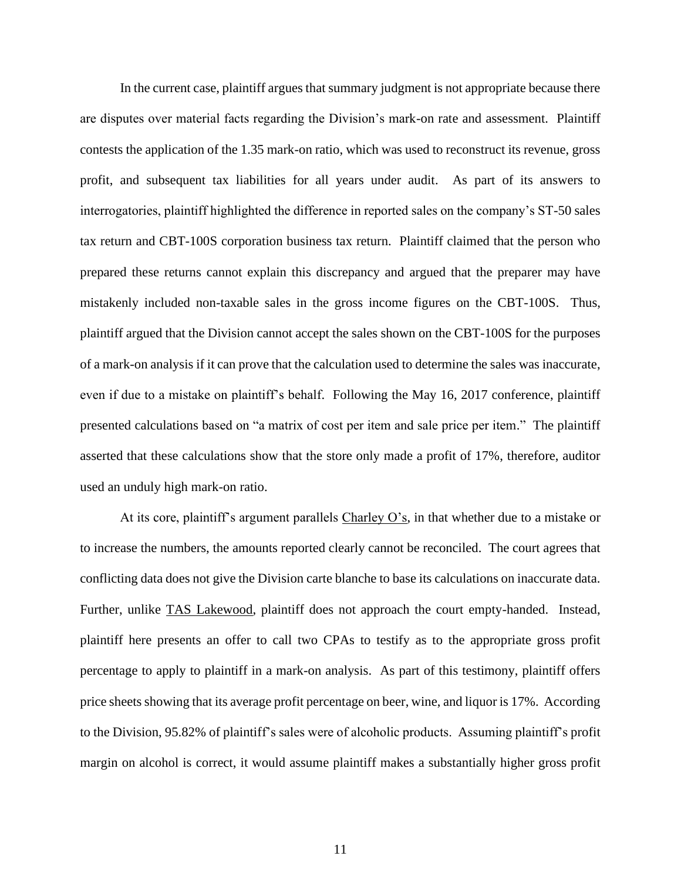In the current case, plaintiff argues that summary judgment is not appropriate because there are disputes over material facts regarding the Division's mark-on rate and assessment. Plaintiff contests the application of the 1.35 mark-on ratio, which was used to reconstruct its revenue, gross profit, and subsequent tax liabilities for all years under audit. As part of its answers to interrogatories, plaintiff highlighted the difference in reported sales on the company's ST-50 sales tax return and CBT-100S corporation business tax return. Plaintiff claimed that the person who prepared these returns cannot explain this discrepancy and argued that the preparer may have mistakenly included non-taxable sales in the gross income figures on the CBT-100S. Thus, plaintiff argued that the Division cannot accept the sales shown on the CBT-100S for the purposes of a mark-on analysis if it can prove that the calculation used to determine the sales was inaccurate, even if due to a mistake on plaintiff's behalf. Following the May 16, 2017 conference, plaintiff presented calculations based on "a matrix of cost per item and sale price per item." The plaintiff asserted that these calculations show that the store only made a profit of 17%, therefore, auditor used an unduly high mark-on ratio.

At its core, plaintiff's argument parallels Charley O's, in that whether due to a mistake or to increase the numbers, the amounts reported clearly cannot be reconciled. The court agrees that conflicting data does not give the Division carte blanche to base its calculations on inaccurate data. Further, unlike <u>TAS Lakewood</u>, plaintiff does not approach the court empty-handed. Instead, plaintiff here presents an offer to call two CPAs to testify as to the appropriate gross profit percentage to apply to plaintiff in a mark-on analysis. As part of this testimony, plaintiff offers price sheets showing that its average profit percentage on beer, wine, and liquor is 17%. According to the Division, 95.82% of plaintiff's sales were of alcoholic products. Assuming plaintiff's profit margin on alcohol is correct, it would assume plaintiff makes a substantially higher gross profit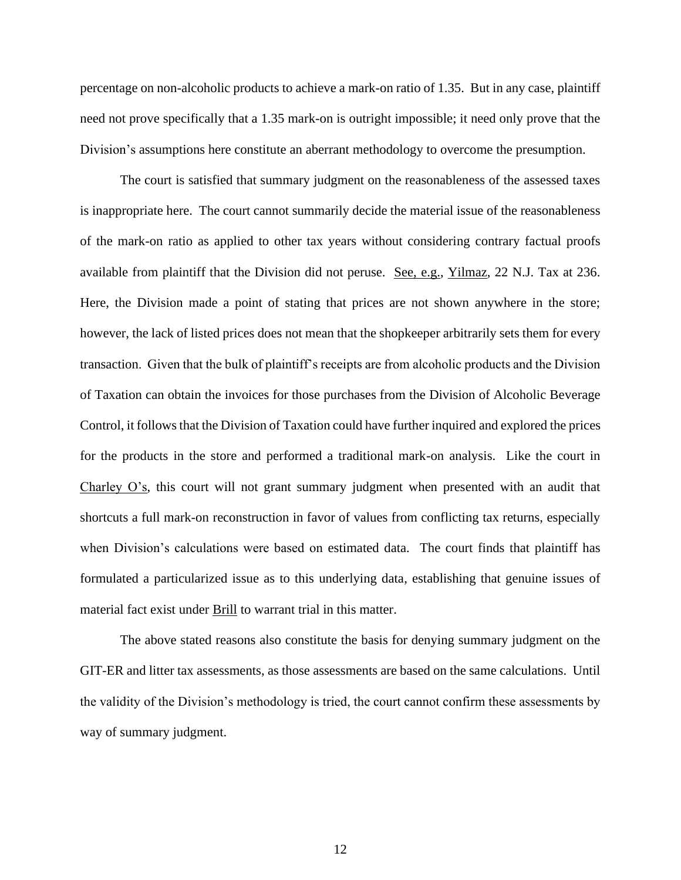percentage on non-alcoholic products to achieve a mark-on ratio of 1.35. But in any case, plaintiff need not prove specifically that a 1.35 mark-on is outright impossible; it need only prove that the Division's assumptions here constitute an aberrant methodology to overcome the presumption.

The court is satisfied that summary judgment on the reasonableness of the assessed taxes is inappropriate here. The court cannot summarily decide the material issue of the reasonableness of the mark-on ratio as applied to other tax years without considering contrary factual proofs available from plaintiff that the Division did not peruse. See, e.g., Yilmaz, 22 N.J. Tax at 236. Here, the Division made a point of stating that prices are not shown anywhere in the store; however, the lack of listed prices does not mean that the shopkeeper arbitrarily sets them for every transaction. Given that the bulk of plaintiff's receipts are from alcoholic products and the Division of Taxation can obtain the invoices for those purchases from the Division of Alcoholic Beverage Control, it follows that the Division of Taxation could have further inquired and explored the prices for the products in the store and performed a traditional mark-on analysis. Like the court in Charley O's, this court will not grant summary judgment when presented with an audit that shortcuts a full mark-on reconstruction in favor of values from conflicting tax returns, especially when Division's calculations were based on estimated data. The court finds that plaintiff has formulated a particularized issue as to this underlying data, establishing that genuine issues of material fact exist under Brill to warrant trial in this matter.

The above stated reasons also constitute the basis for denying summary judgment on the GIT-ER and litter tax assessments, as those assessments are based on the same calculations. Until the validity of the Division's methodology is tried, the court cannot confirm these assessments by way of summary judgment.